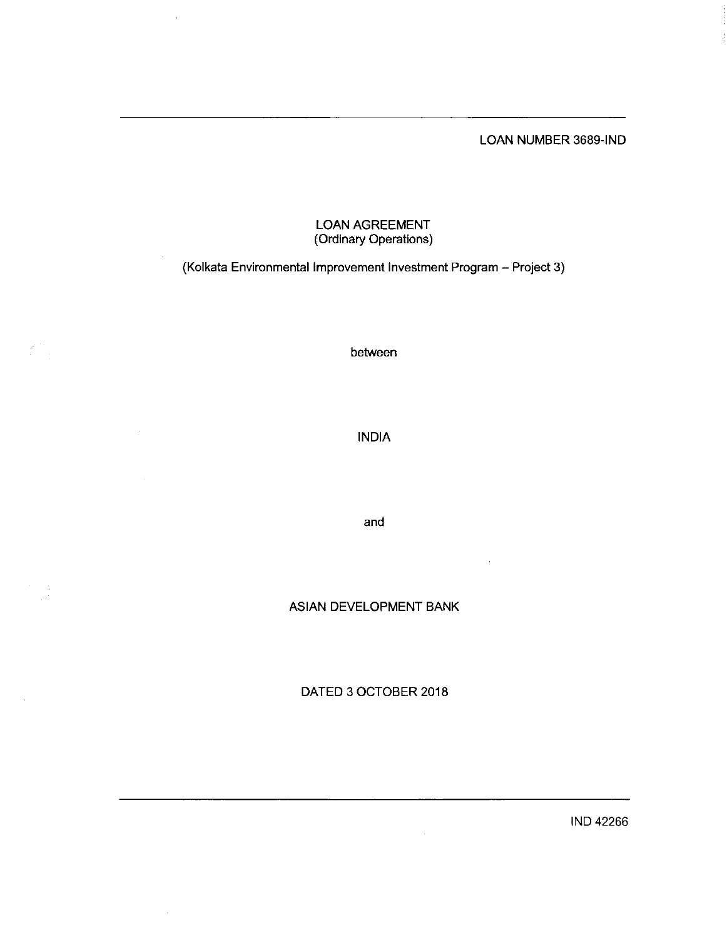LOAN NUMBER 3689-IND

# LOAN AGREEME (Ordinary Operations)

 $\bar{ }$ 

# (Kolkata Environmental Improvement Investment Program - Project 3)

between

INDIA

and

ASIAN DEVELOPMENT BANK

DATED 3 0CTOBER 2018

 $\hat{\mathcal{A}}$ 

IND 42266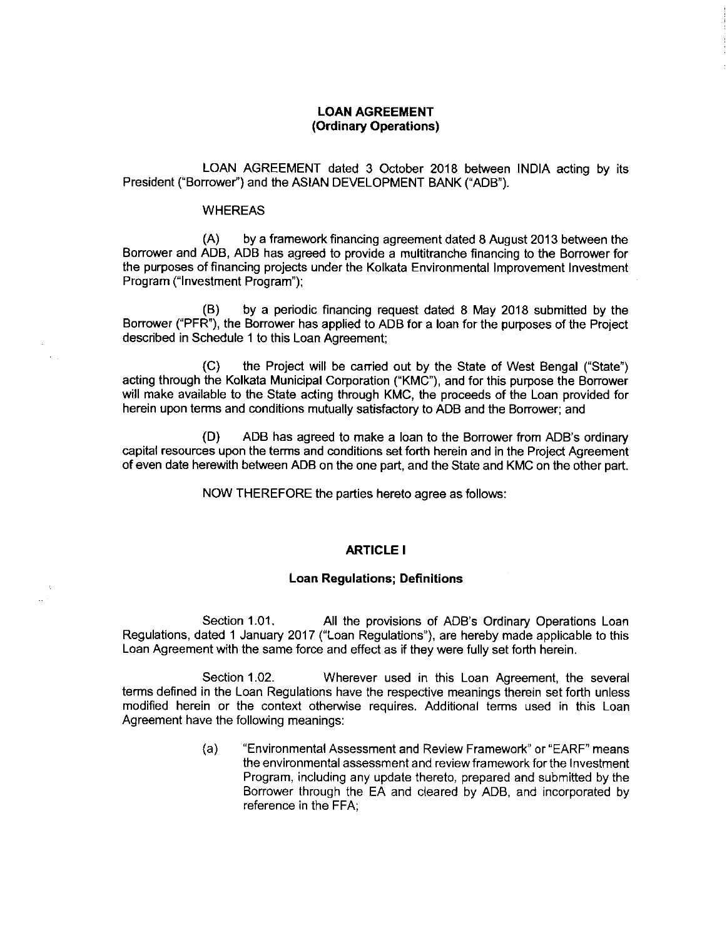# LOAN AGREEMENT (Ordinary Operations)

LOAN AGREEMENT dated 3 October 2018 between INDIA acting by its President ("Borrower") and the ASIAN DEVELOPMENT BANK ("ADB").

#### WHEREAS

(A) by aframework financing agreement dated 8 August 2013 between the Borrower and ADB, ADB has agreed to provide a multitranche financing to the Borrower for the purposes of financing projects under the Kolkata Environmental Improvement Investment Program ("Investment Program");

(B) by a periodic financing request dated 8 May 2018 submitted by the Borrower ("PFR"), the Borrower has applied to ADB for a loan for the purposes of the Project described in Schedule 1 to this Loan Agreement;

(C) the Project will be carried out by the State of West Bengal("State") acting through the Kolkata Municipal Corporation ("KMC"), and for this purpose the Borrower will make available to the State acting through KMC, the proceeds of the Loan provided for herein upon terms and conditions mutually satisfactory to ADB and the Borrower; and

(D) ADB has agreed to make a loan to the Borrower from ADB's ordinary capital resources upon the terms and conditions set forth herein and in the Project Agreement of even date herewith between ADB on the one part, and the State and KMC on the other part.

NOW THEREFORE the parties hereto agree as follows:

# ARTICLE I

#### Loan Regulations; Definitions

Section 1.01. All the provisions of ADB's Ordinary Operations Loan Regulations, dated 1 January 2017 ("Loan Regulations"), are hereby made applicable to this Loan Agreement with the same force and effect as if they were fully set forth herein.

Section 1.02. Wherever used in this Loan Agreement, the several terms defined in the Loan Regulations have the respective meanings therein set forth unless modified herein or the context otherwise requires. Additional terms used in this Loan Agreement have the following meanings:

> (a) "Environmental Assessment and Review Framework" or "EARF" means the environmental assessment and review framework for the Investment Program, including any update thereto, prepared and submitted by the Borrower through the EA and cleared by ADB, and incorporated by reference in the FFA;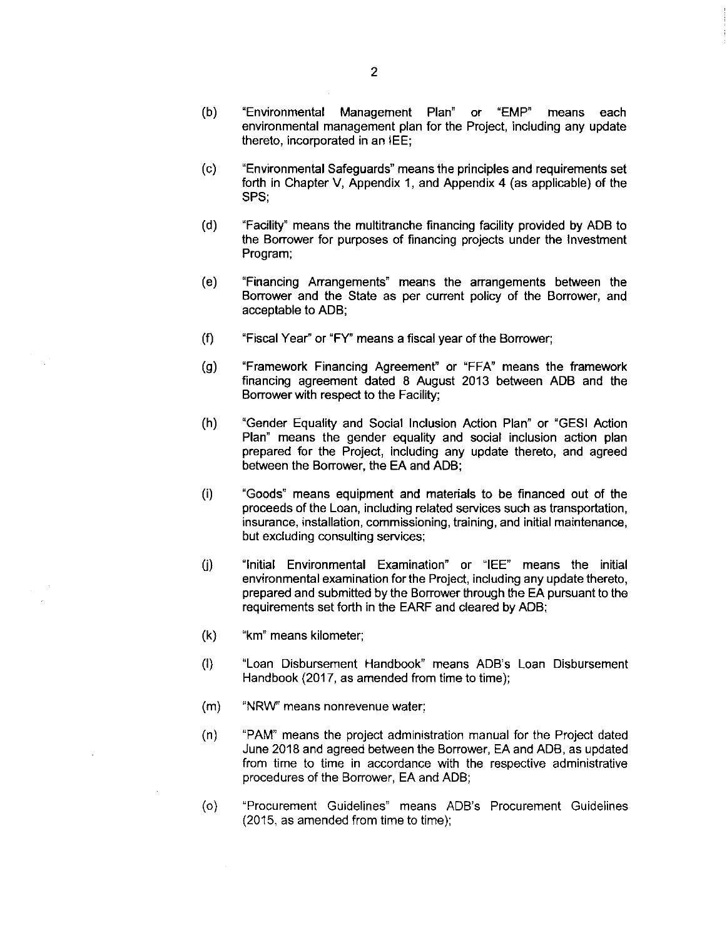- (b) "Environmental Management Plan" or "EMP" means each environmental management plan for the Project, including any update thereto, incorporated in an IEE;
- $(c)$ "Environmental Safeguards"means the principles and requirements set forth in Chapter V, Appendix 1, and Appendix 4 (as applicable) of the SPS;
- (d) "Facility" means the multitranchefinancing facility provided by ADB to the Borrower for purposes of financing projects under the Investment Program;
- (e) "Financing Arrangements" means the arrangements between the Borrower and the State as per current policy of the Borrower, and acceptable to ADB;
- $(f)$ "Fiscal Year" or "FY" means afiscal year of the Borrower;
- (g) "Framework Financing Agreement" or "FFA" means the framework financing agreement dated 8 August 2013 between ADB and the Borrower with respect to the Facility;
- (h) "Gender Equality and Social Inclusion Action Plan" or "GESI Action Plan" means the gender equality and social inclusion action plan prepared for the Project, including any update thereto, and agreed between the Borrower, the EA and ADB;
- $(i)$ "Goods" means equipment and materials to be financed out of the proceeds of the Loan, including related services such as transportation insurance, installation, commissioning, training, and initial maintenance, but excluding consulting services;
- $(i)$ "lnitial Environmental Examination" or "IEE" means the initial environmental examination for the Project, including any update thereto, prepared and submitted by the Borrower through the EA pursuant to the requirements set forth in the EARF and cleared by ADB;
- (k) "km" means kilometer;
- $(1)$ "Loan Disbursement Handbook" means ADB's Loan Disbursement Handbook (2017, as amended from time to time);
- (m) "NRW" means nonrevenue water;
- (n) "PAM" means the project administration manual for the Project dated June 2018 and agreed between the Borrower, EA and ADB, as updated from time to time in accordance with the respective administrative procedures of the Borrower, EA and ADB;
- (o) "Procurement Guidelines" means ADB's Procurement Guidelines  $(2015, as amended from time to time);$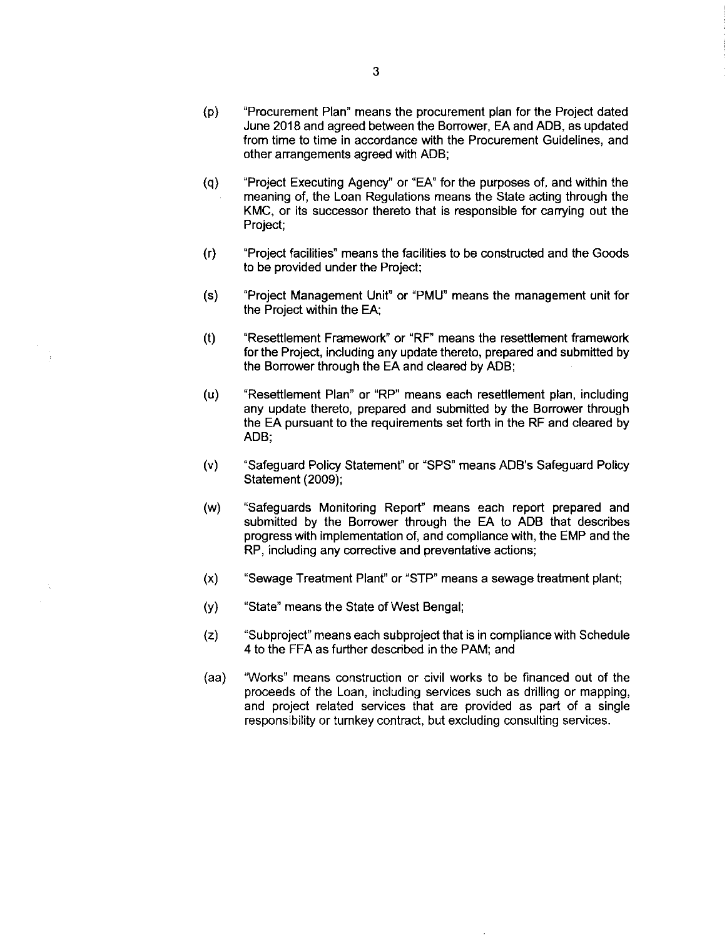- (p) "Procurement Plan" means the procurement planfor the Project dated June 2018 and agreed between the Borrower, EA and ADB, as updated from time to time in accordance with the Procurement Guidelines, and other arrangements agreed with ADB;
- (q) "Project Executing Agency" or "EA" for the purposes of, and within the meaning of, the Loan Regulations means the State acting through the KMC, or its successor thereto that is responsible for carrying out the Project;
- $(r)$ "Project facilities" means the facilities to be constructed and the Goods to be provided under the Project;
- (s) "Project Management Unit" or "PMU" means the management unit for the Project within the EA:
- "Resettlement Framework" or "RF" means the resettlement framework  $(t)$ forthe Project, including any update thereto, prepared and submitted by the Borrower through the EA and cleared by ADB;
- (u) "Resettlement Plan" or "RP" means each resettlement plan, including any update thereto, prepared and submitted by the Borrower through the EA pursuant to the requirements set forth in the RF and cleared by ADB:
- (v) "Safeguard Policy Statement" or "SPS" means ADB's Safeguard Policy Statement (2009);
- (w) "Safeguards Monitoring Report" means each report prepared and submitted by the Borrower through the EA to ADB that describes progress with implementation of, and compliance with, the EMP and the RP, including any corrective and preventative actions;
- $(x)$  "Sewage Treatment Plant" or "STP" means a sewage treatment plant;
- (y) "State" means the State of West Bengal;
- (z) "Subproject" means each subproject that is in compliance with Schedule 4 to the FFA as further described in the PAM; and
- (aa) "Works" means construction or civil works to be financed out of the proceeds of the Loan, including services such as drilling or mapping, and project related services that are provided as part of a single responsibility or turnkey contract, but excluding consulting services.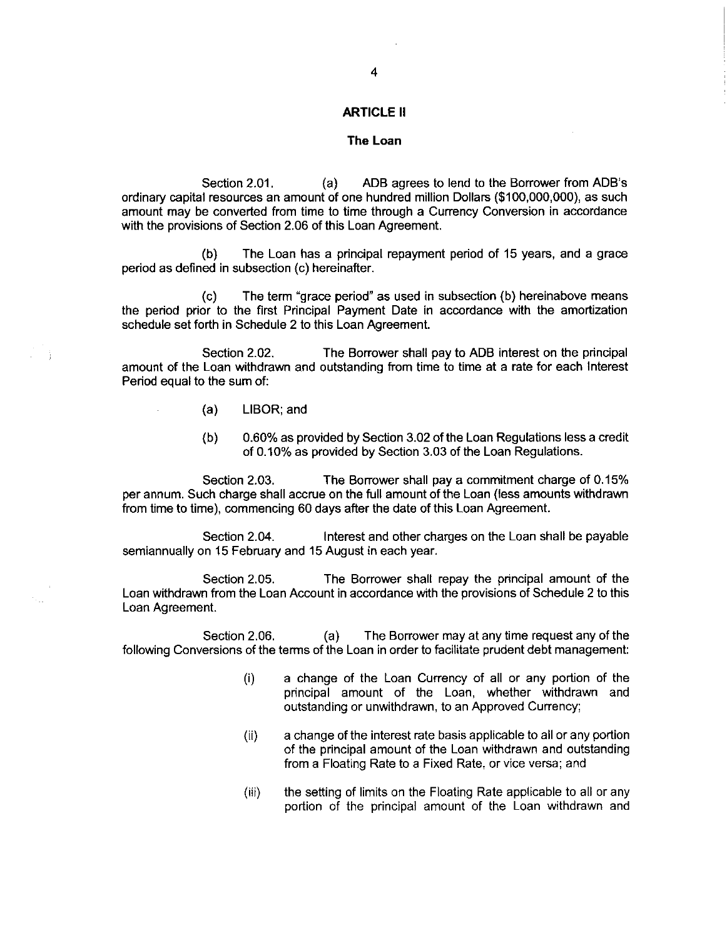## ARTICLE 11

#### The Loan

Section 2.01. (a) ADB agrees to lend to the Borrower from ADB's ordinary capital resources an amount of one hundred million Dollars(\$100,000,000), as such amount may be converted from time to time through a Currency Conversion in accordance with the provisions of Section 2.06 of this Loan Agreement.

(b) The Loan has a principal repayment period of 15 years, and a grace period as defined in subsection (c) hereinafter.

(c) The term "grace period" as used in subsection(b) hereinabove means the period prior to the first Principal Payment Date in accordance with the amortization schedule set forth in Schedule 2 to this Loan Agreement.

Section 2.02. The Borrower shall pay to ADB interest on the principal amount of the Loan withdrawn and outstanding from time to time at a rate for each Interest Period equal to the sum of:

- (a) LIBOR; and
- (b)  $0.60\%$  as provided by Section 3.02 of the Loan Regulations less a credit of O.10%as provided by Section 3.03 of the Loan Regulations.

Section 2.03. The Borrower shall pay a commitment charge of O.15% per annum. Such charge shall accrue on thefull amount of the Loan(less amounts withdrawn from time to time), commencing 60 days after the date of this Loan Agreement.

Section 2.04. Interest and other charges on the Loan shall be payable semiannually on 15 February and 15 August in each year.

Section 2.05. The Borrower shall repay the principal amount of the Loan withdrawn from the Loan Account in accordance with the provisions of Schedule 2 to this Loan Agreement.

Section 2.06. (a) The Borrower may at any time request any of the following Conversions of the terms of the Loan in order to facilitate prudent debt management:

- (i) a change of the Loan Currency of all or any portion of the principal amount of the Loan, whether withdrawn and outstanding or unwithdrawn, to an Approved Currency;
- (ii) a change of the interest rate basis applicableto all or any portion of the principal amount of the Loan withdrawn and outstanding from a Floating Rate to a Fixed Rate, or vice versa; and
- (iii) the setting of limits on the Floating Rate applicable to all or any portion of the principal amount of the Loan withdrawn and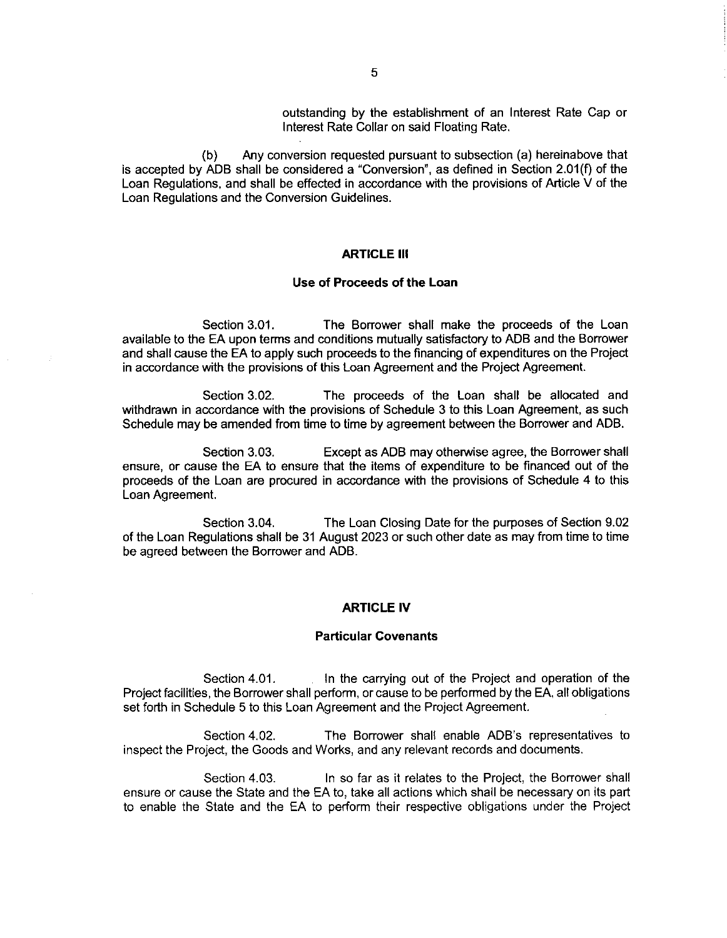outstanding by the establishment of an Interest Rate Cap or Interest Rate Collar on said Floating Rate.

(b) Any conversion requested pursuant to subsection(a) hereinabove that is accepted by ADB shall be considered a "Conversion", as defined in Section 2.01(f) of the Loan Regulations, and shall be effected in accordance with the provisions of Article V of the Loan Regulations and the Conversion Guidelines.

# **ARTICLE III**

## Use of Proceeds of the Loan

Section 3.01. The Borrower shall make the proceeds of the Loan available to the EA upon terms and conditions mutually satisfactory to ADB and the Borrower and shall cause the EA to apply such proceeds to the financing of expenditures on the Project in accordance with the provisions of this Loan Agreement and the Project Agreement.

Section 3.02. The proceeds of the Loan shall be allocated and withdrawn in accordance with the provisions of Schedule 3 to this Loan Agreement, as such Schedule may be amended from time to time by agreement between the Borrower and ADB.

Section 3.03. Except as ADB may otherwise agree, the Borrower shall ensure, or cause the EA to ensure that the items of expenditure to be financed out of the proceeds of the Loan are procured in accordance with the provisions of Schedule 4 to this Loan Agreement.

Section 3.04. The Loan Closing Date for the purposes of Section 9.02 of the Loan Regulations shall be 31 August 2023 or such other date as may from time to time be agreed between the Borrower and ADB.

## ARTICLE IV

#### Particular Covenants

Section 4.01. In the carrying out of the Project and operation of the Project facilities, the Borrower shall perform, or cause to be performed by the EA, all obligations set forth in Schedule 5 to this Loan Agreement and the Project Agreement.

Section 4.02. The Borrower shall enable ADB's representatives to inspect the Project, the Goods and Works, and any relevant records and documents.

Section 4.03. In so far as it relates to the Project, the Borrower shall ensure or cause the State and the EA to, take all actions which shall be necessary on its part to enable the State and the EA to perform their respective obligations under the Project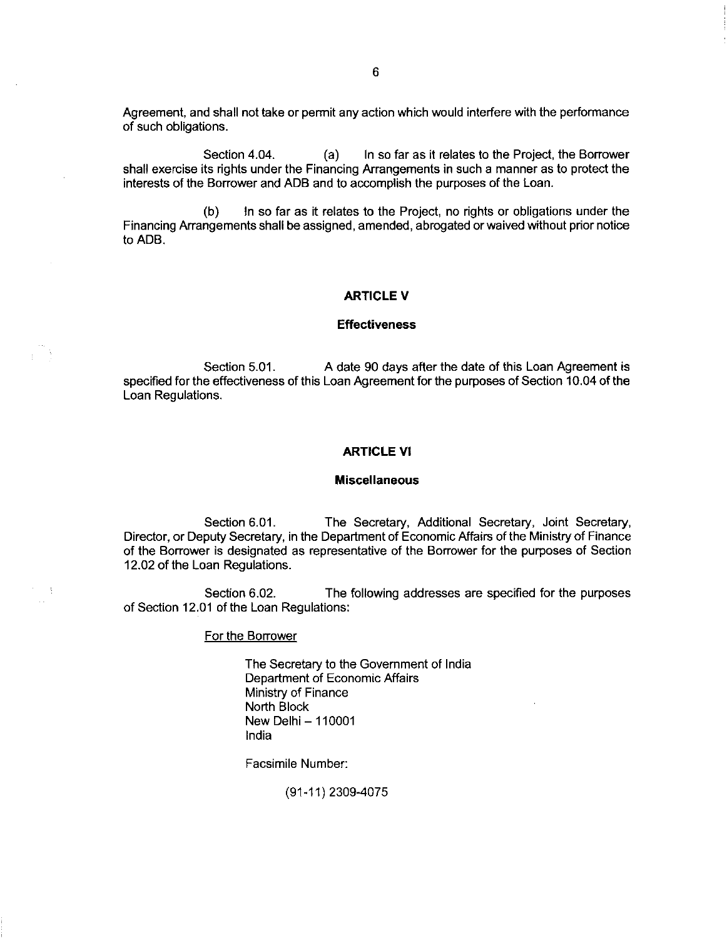Agreement, and shall not take or permit any action which would interfere with the performance of such obligations

Section 4.04. (a) In so far as it relates to the Project, the Borrower shall exercise its rights under the Financing Arrangements in such a manner as to protect the interests of the Borrower and ADB and to accomplish the purposes of the Loan.

(b) In so far as it relates to the Project, no rights or obligations under the Financing Arrangements shall be assigned, amended, abrogated or waived without prior notice to ADB.

# ARTICLE V

#### Effectiveness

Section 5.01. A date 90 days after the date of this Loan Agreement is specified for the effectiveness of this Loan Agreement for the purposes of Section 10.04 of the Loan Regulations.

# ARTICLE Vl

#### Miscellaneous

Section 6.01. The Secretary, Additional Secretary, Joint Secretary, Director, or Deputy Secretary, in the Department of EconomicAffairs of the Ministry of Finance of the Borrower is designated as representative of the Borrowerfor the purposes of Section 12.02 of the Loan Regulations.

Section 6.02. The following addresses are specified for the purposes of Section 12.01 of the Loan Regulations:

## For the Borrower

The Secretary to the Government of India Department of Economic Affairs Ministry of Finance North Block New Delhi-110001 India

Facsimile Number:

(91-11) 2309-4075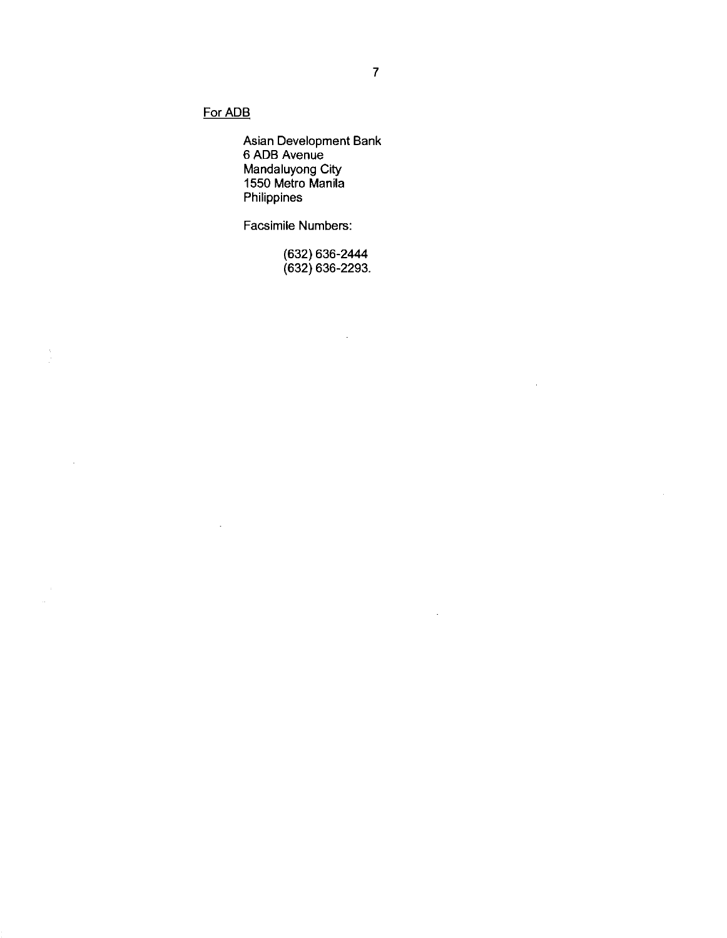# For ADB

 $\ddot{\phantom{a}}$ 

 $\hat{\mathcal{A}}$ 

 $\bar{z}$ 

Asian Development Bank 6 ADB Avenue Mandaluyong City 1550 Metro Manila Philippines

Facsimile Numbers:

(632) 636- 2444 (632) 636- 2293.

 $\mathcal{L}$ 

 $\bar{z}$ 

 $\mathcal{L}^{\pm}$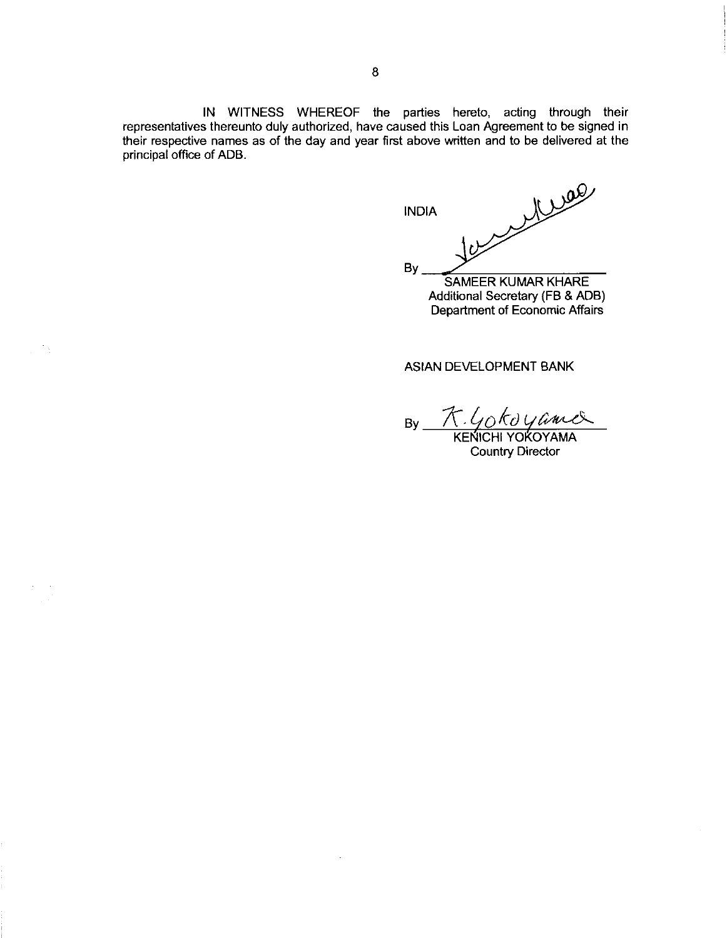IN WITNESS WHEREOF the parties hereto, acting through their representatives thereunto duly authorized, have caused this Loan Agreement to be signed in their respective names as of the day and year first above written and to be delivered at the principal office of ADB.

les Miles INDIA BV SAMEER KUMAR KHARE

Additional Secretary(FB & ADB) Department of Economic Affairs

# ASIAN DEVELOPMENT BANK

By K.Gokoyamer

Country Director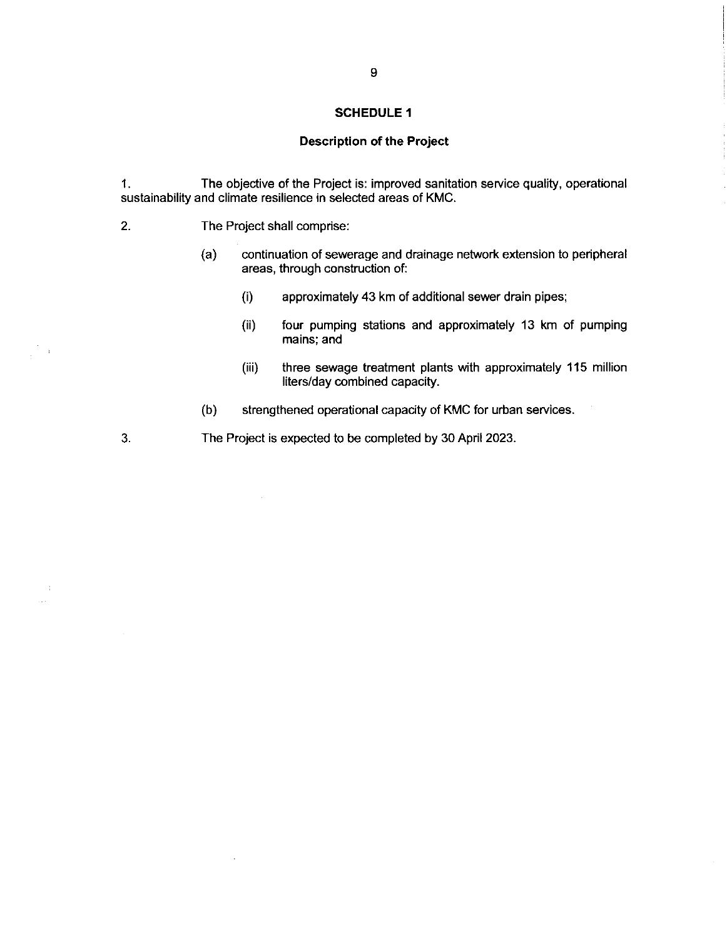# Description of the Project

1. The objective of the Project is: improved sanitation service quality, operational sustainability and climate resilience in selected areas of KMC.

2. The Project shall comprise:

 $\cdot$ 

 $\mathbb{S}_3$ 

 $\boldsymbol{\cdot}$ 

- (a) continuation of sewerage and drainage network extension to peripheral areas, through construction of:
	- (i) approximately 43 km of additional sewer drain pipes;
	- (ii) four pumping stations and approximately 13 km of pumping mains; and
	- (iii) three sewage treatment plants with approximately 115 million liters/day combined capacity.
- (b) strengthened operational capacity of KMC for urban services.

3. The Project is expected to be completed by 30 April 2023.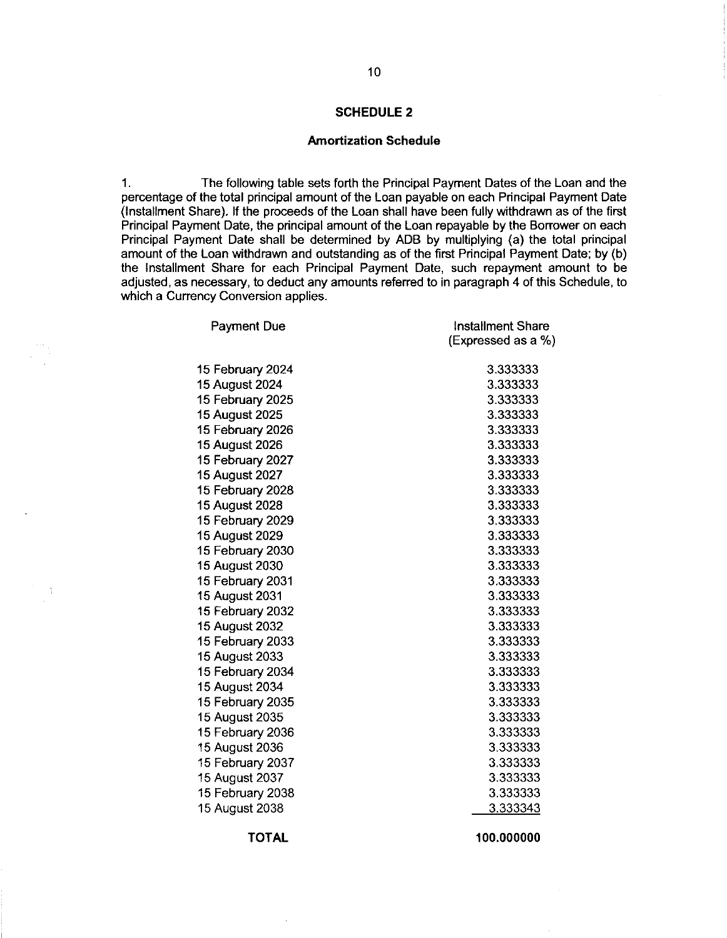# Amortization Schedule

1. Thefollowing table setsforth the Principal Payment Dates of the Loan and the percentage of the total principal amount of the Loan payable on each Principal Payment Date (Installment Share). If the proceeds of the Loan shall have been fully withdrawn as of the first Principal Payment Date, the principal amount of the Loan repayable by the Borrower on each Principal Payment Date shall be determined by ADB by multiplying(a) the total principal amount of the Loan withdrawn and outstanding as of the first Principal Payment Date; by (b) the Installment Share for each Principal Payment Date, such repayment amount to be adjusted, as necessary, to deduct any amounts referred to in paragraph 4 of this Schedule, to which a Currency Conversion applies.

| <b>Payment Due</b> | Installment Share  |
|--------------------|--------------------|
|                    | (Expressed as a %) |
| 15 February 2024   | 3.333333           |
| 15 August 2024     | 3.333333           |
| 15 February 2025   | 3.333333           |
| 15 August 2025     | 3.333333           |
| 15 February 2026   | 3.333333           |
| 15 August 2026     | 3.333333           |
| 15 February 2027   | 3.333333           |
| 15 August 2027     | 3.333333           |
| 15 February 2028   | 3.333333           |
| 15 August 2028     | 3.333333           |
| 15 February 2029   | 3.333333           |
| 15 August 2029     | 3.333333           |
| 15 February 2030   | 3.333333           |
| 15 August 2030     | 3.333333           |
| 15 February 2031   | 3.333333           |
| 15 August 2031     | 3.333333           |
| 15 February 2032   | 3.333333           |
| 15 August 2032     | 3.333333           |
| 15 February 2033   | 3.333333           |
| 15 August 2033     | 3.333333           |
| 15 February 2034   | 3.333333           |
| 15 August 2034     | 3.333333           |
| 15 February 2035   | 3.333333           |
| 15 August 2035     | 3.333333           |
| 15 February 2036   | 3.333333           |
| 15 August 2036     | 3.333333           |
| 15 February 2037   | 3.333333           |
| 15 August 2037     | 3.333333           |
| 15 February 2038   | 3.333333           |
| 15 August 2038     | 3.333343           |

TOTAL 100.000000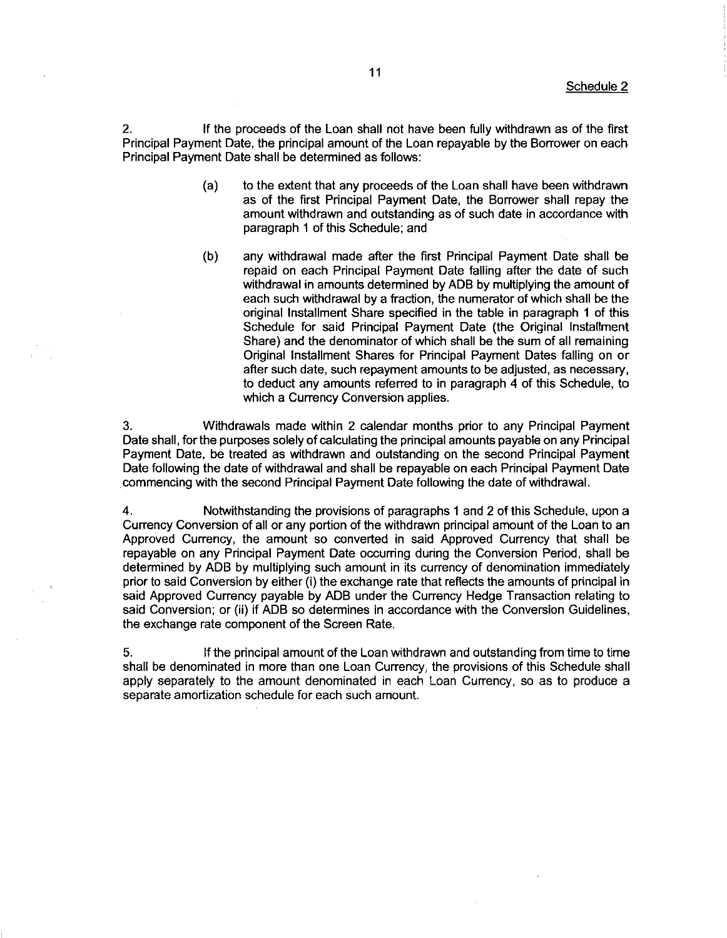2. If the proceeds of the Loan shall not have beenfully withdrawn as of the first Principal Payment Date, the principal amount of the Loan repayable by the Borrower on each Principal Payment Date shall be determined as follows:

- (a) to the extent that any proceeds of the Loan shall have been withdrawn as of the first Principal Payment Date, the Borrower shall repay the amount withdrawn and outstanding as of such date in accordance with paragraph 4 of this Schedule; and
- (b) any withdrawal made after the first Principal Payment Date shall be repaid on each Principal Payment Date falling after the date of such withdrawal in amounts determined by ADB by multiplying the amount of each such withdrawal by afraction, the numerator of which shall be the original Installment Share specified in the table in paragraph 1 of this Schedule for said Principal Payment Date (the Original Installment Share) and the denominator of which shall be the sum of all remaining Original Installment Shares for Principal Payment Dates falling on or after such date, such repayment amounts to be adjusted, as necessary, to deduct any amounts referred to in paragraph 4 of this Schedule, to which a Currency Conversion applies.

3. Withdrawals made within 2 calendar months prior to any Principal Payment Date shall, for the purposes solely of calculating the principal amounts payable on any Principal Payment Date, be treated as withdrawn and outstanding on the second Principal Payment Date following the date of withdrawal and shall be repayable on each Principal Payment Date commencing with the second Principal Payment Date following the date of withdrawal.

4. Notwithstandingthe provisions of paragraphs1 and 2 of this Schedule, upon a Currency Conversion of all or any portion of the withdrawn principal amount of the Loan to an Approved Currency, the amount so converted in said Approved Currency that shall be repayable on any Principal Payment Date occurring during the Conversion Period, shall be determined by ADB by multiplying such amount in its currency of denomination immediately prior to said Conversion by either (i) the exchange rate that reflects the amounts of principal in said Approved Currency payable by ADB under the Currency Hedge Transaction relating to said Conversion; or (ii) if ADB so determines in accordance with the Conversion Guidelines, the exchange rate component of the Screen Rate.

5. If the principal amount of the Loan withdrawn and outstandingfrom time to time shall be denominated in more than one Loan Currency, the provisions of this Schedule shall apply separately to the amount denominated in each Loan Currency, so as to produce a separate amortization schedule for each such amount.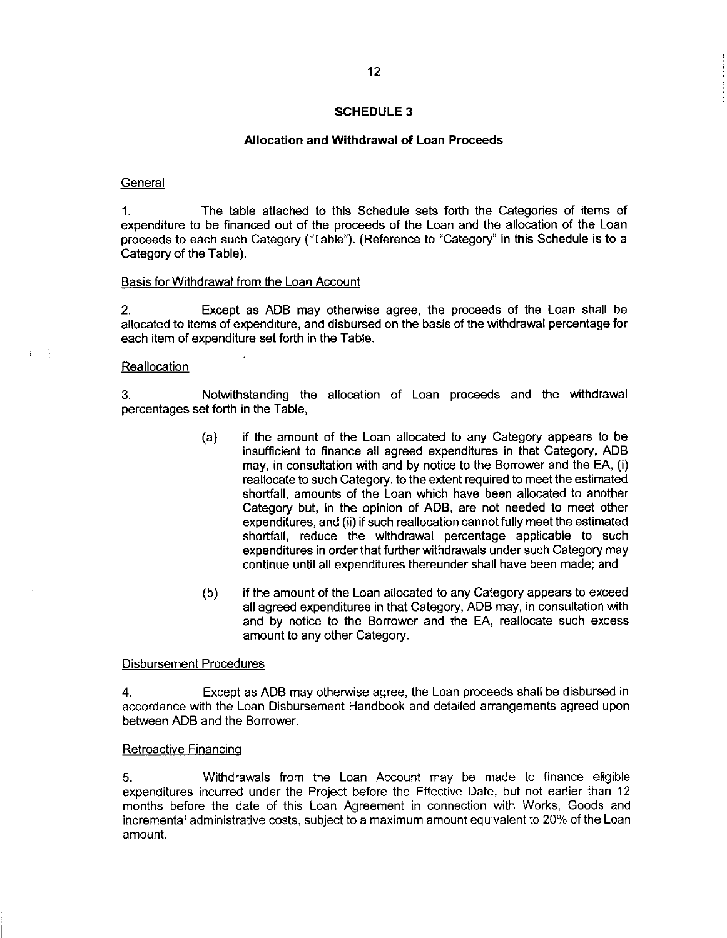# Allocation and Withdrawal of Loan Proceeds

#### **General**

1. The table attached to this Schedule sets forth the Categories of items of expenditure to be financed out of the proceeds of the Loan and the allocation of the Loan proceeds to each such Category ("Table"). (Reference to "Category" in this Schedule is to a Category of the Table).

#### Basis for Withdrawal from the Loan Account

2. Except as ADB may otherwise agree, the proceeds of the Loan shall be allocated to items of expenditure, and disbursed on the basis of the withdrawal percentage for each item of expenditure set forth in the Table.

#### **Reallocation**

3. Notwithstanding the allocation of Loan proceeds and the withdrawal percentages set forth in the Table,

- (a) if the amount of the Loan allocated to any Category appears to be insufflcient to finance all agreed expenditures in that Category, ADB may, in consultation with and by notice to the Borrower and the EA,(i) reallocate to such Category, to the extent required to meet the estimated shortfall, amounts of the Loan which have been allocated to another Category but, in the opinion of ADB, are not needed to meet other expenditures, and (ii) if such reallocation cannot fully meet the estimated shortfall, reduce the withdrawal percentage applicable to such expenditures in order that further withdrawals under such Category may continue until all expenditures thereunder shall have been made; and
- (b) if the amount of the Loan allocated to any Category appears to exceed all agreed expenditures in that Category, ADB may, in consultation with and by notice to the Borrower and the EA, reallocate such excess amount to any other Category.

#### Disbursement Procedures

4. Except as ADB may otherwise agree, the Loan proceeds shall be disbursed in accordance with the Loan Disbursement Handbook and detailed arrangements agreed upon between ADB and the Borrower.

# Retroactive Financinq

5. Withdrawals from the Loan Account may be made to finance eligible expenditures incurred under the Project before the Effective Date, but not earlier than 12 months before the date of this Loan Agreement in connection with Works, Goods and incremental administrative costs, subject to a maximum amount equivalent to 20% of the Loan amount.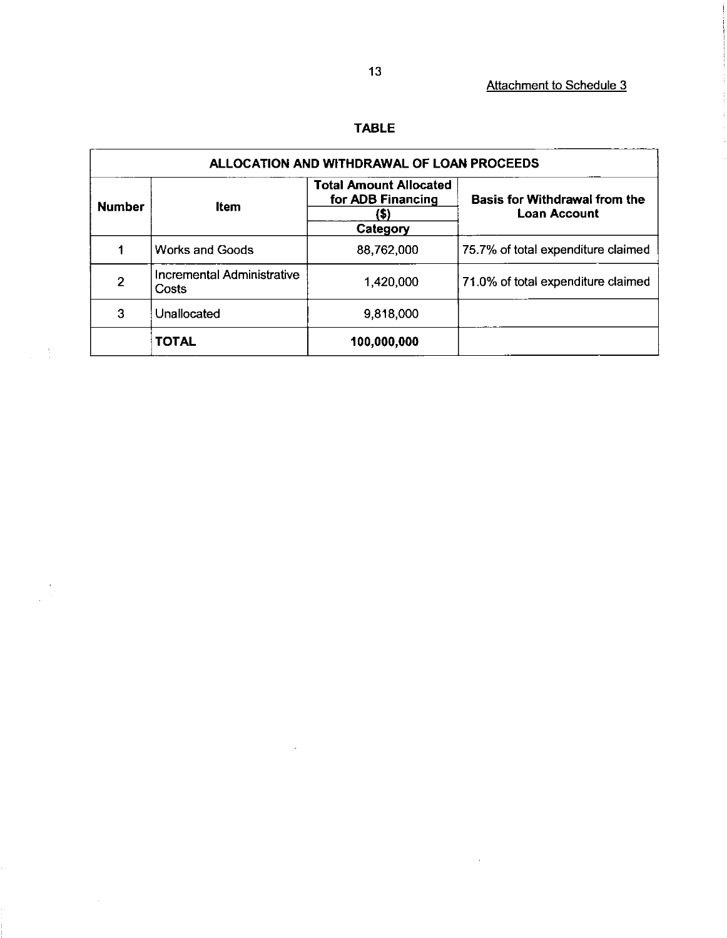# TABLE

| ALLOCATION AND WITHDRAWAL OF LOAN PROCEEDS |                                     |                                                                        |                                                             |
|--------------------------------------------|-------------------------------------|------------------------------------------------------------------------|-------------------------------------------------------------|
| <b>Number</b>                              | ltem                                | <b>Total Amount Allocated</b><br>for ADB Financing<br>(\$)<br>Category | <b>Basis for Withdrawal from the</b><br><b>Loan Account</b> |
|                                            | Works and Goods                     | 88,762,000                                                             | 75.7% of total expenditure claimed                          |
| 2                                          | Incremental Administrative<br>Costs | 1,420,000                                                              | 71.0% of total expenditure claimed                          |
| 3                                          | Unallocated                         | 9,818,000                                                              |                                                             |
|                                            | <b>TOTAL</b>                        | 100,000,000                                                            |                                                             |

 $\sim$ 

 $\sim$ 

 $\frac{1}{2} \left( \frac{1}{2} \right)$ 

 $\begin{pmatrix} \mathbf{y} \\ \mathbf{y} \\ \mathbf{z} \end{pmatrix}$ 

 $\hat{\boldsymbol{\beta}}$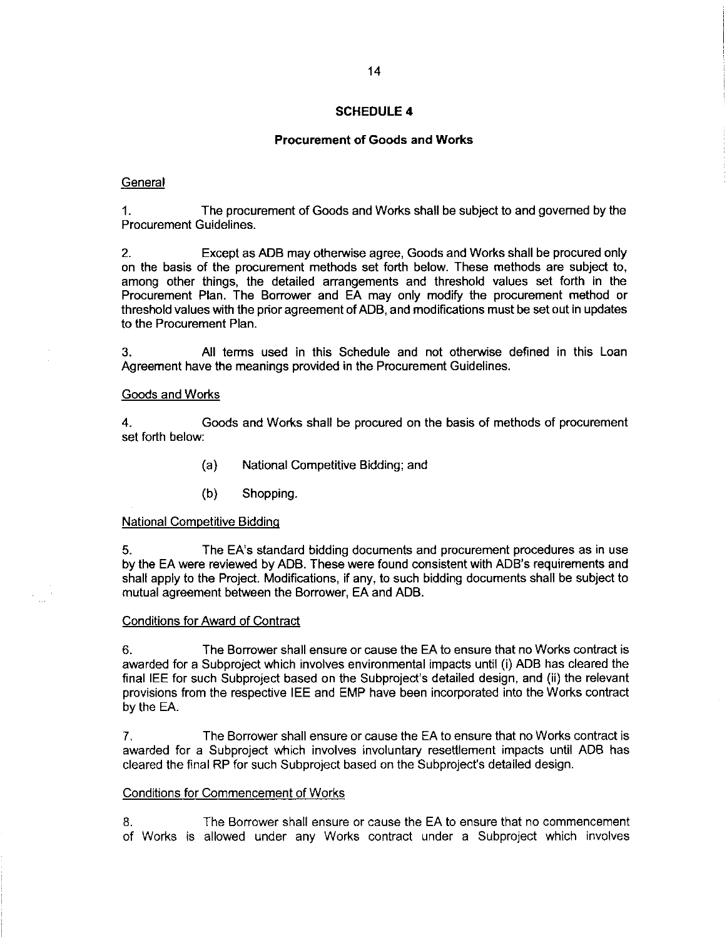# Procurement of Goods and Works

## **General**

1. The procurement of Goods and Works shall be subject to and governed by the Procurement Guidelines.

2. Except as ADB may otherwise agree, Goods and Works shall be procured only on the basis of the procurement methods set forth below. These methods are subject to, among other things, the detailed arrangements and threshold values set forth in the Procurement Plan. The Borrower and EA may only modify the procurement method or threshold values with the prior agreement of ADB, and modifications must be set out in updates to the Procurement Plan.

3. All terms used in this Schedule and not otherwise defined in this Loan Agreement have the meanings provided in the Procurement Guidelines.

# Goods and Works

4. Goods and Works shall be procured on the basis of methods of procurement set forth below:

- (a) National Competitive Bidding; and
- (b) Shopping.

# National Competitive Biddinq

5. The EA's standard bidding documents and procurement procedures as in use by the EA were reviewed by ADB. These were found consistent with ADB's requirements and shall apply to the Project. Modifications, if any, to such bidding documents shall be sublect to mutual agreement between the Borrower, EA and ADB.

# Conditions for Award of Contract

6. The Borrower shall ensure or cause the EA to ensure that no Works contract is awarded for a Subproject which involves environmental impacts until (i) ADB has cleared the final IEE for such Subproject based on the Subproject's detailed design, and (ii) the relevant provisionsfrom the respective IEE and EMP have been incorporated into the Works contract by the EA.

7. The Borrower shall ensure or cause the EA to ensure that no Works contract is awarded for a Subproject which involves involuntary resettlement impacts until ADB has cleared the final RP for such Subproject based on the Subproject's detailed design.

#### Conditions for Commencement of Works

8. The Borrower shall ensure or cause the EA to ensure that no commencement of Works is allowed under any Works contract under a Subproject which involves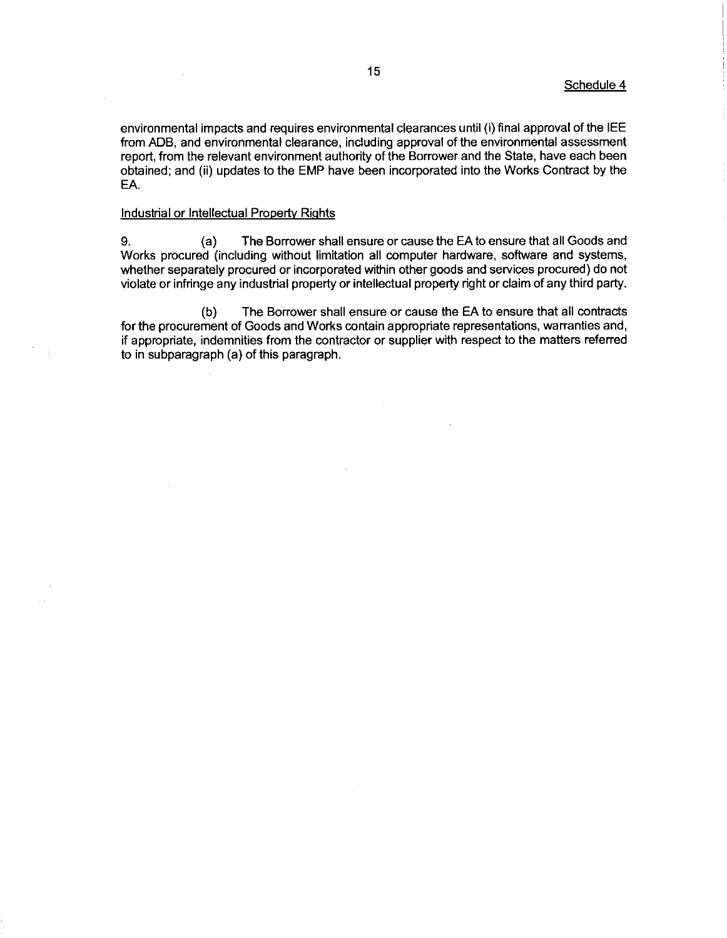environmental impacts and requires environmental clearances until (i) final approval of the IEE from ADB, and environmental clearance, including approval of the environmental assessment report, from the relevant environment authority of the Borrower and the State, have each been obtained; and (ii) updates to the EMP have been incorporated into the Works Contract by the EA.

# Industrial or Intellectual Property Rights

9. (a) The Borrower shall ensure or cause the EAto ensure that all Goods and Works procured (including without limitation all computer hardware, software and systems, whether separately procured or incorporated within other goods and services procured) do not violate or infringe any industrial property or intellectual property right or claim of any third party.

(b) The Borrower shall ensure or cause the EA to ensure that all contracts for the procurement of Goods and Works contain appropriate representations, warranties and, if appropriate, indemnities from the contractor or supplier with respect to the matters referred to in subparagraph(a) of this paragraph.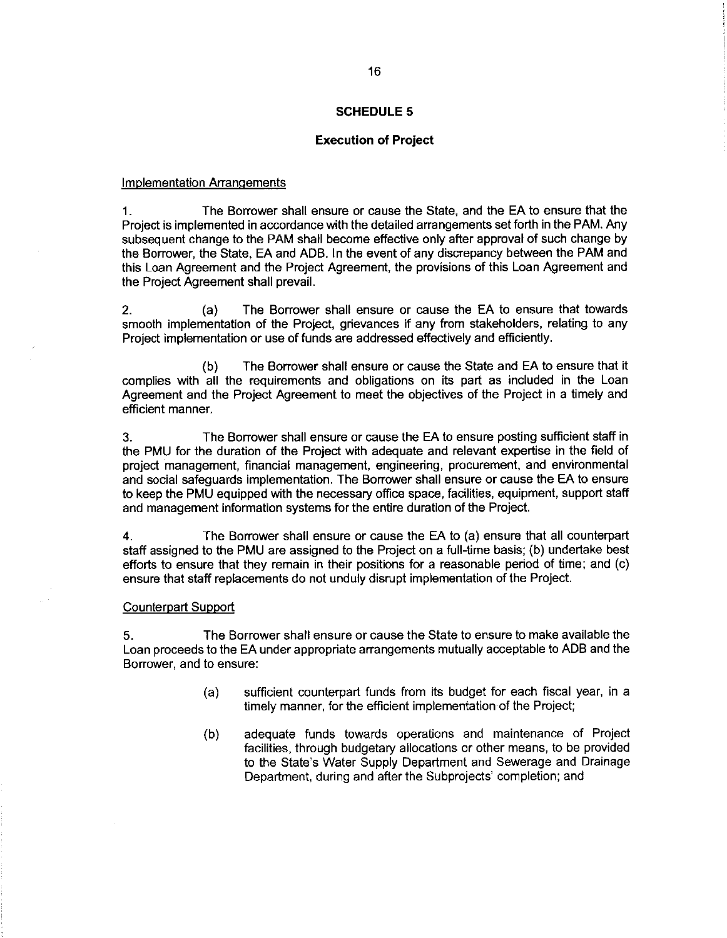# Execution of Project

# Implementation Arranqements

4. The Borrower shall ensure or cause the State, and the EA to ensure that the Project is implemented in accordance with the detailed arrangements set forth in the PAM. Any subsequent change to the PAM shall become effective only after approval of such change by the Borrower, the State, EA and ADB. In the event of any discrepancy between the PAM and this Loan Agreement and the Project Agreement, the provisions of this Loan Agreement and the Project Agreement shall prevail.

2. (a) The Borrower shall ensure or cause the EA to ensure that towards smooth implementation of the Project, grievances if any from stakeholders, relating to any Project implementation or use of funds are addressed effectively and efficiently.

(b) The Borrower shall ensure or cause the State and EA to ensure that it complies with all the requirements and obligations on its part as included in the Loan Agreement and the Project Agreement to meet the objectives of the Project in a timely and efficient manner.

3. The Borrower shall ensure or cause the EA to ensure posting sufficient staff in the PMU for the duration of the Project with adequate and relevant expertise in the field of project management, financial management, engineering, procurement, and environmental and social safeguards implementation. The Borrower shall ensure or cause the EA to ensure to keep the PMU equipped with the necessary office space, facilities, equipment, support staff and management information systems for the entire duration of the Project.

4. The Borrower shall ensure or cause the EA to (a) ensure that all counterpart staff assigned to the PMU are assigned to the Project on a full-time basis; (b) undertake best efforts to ensure that they remain in their positions for a reasonable period of time; and (c) ensure that staff replacements do not unduly disrupt implementation of the Project.

#### Counterpart Support

5. The Borrower shall ensure or cause the State to ensure to make available the Loan proceeds to the EA under appropriate arrangements mutually acceptable to ADB and the Borrower, and to ensure:

- (a) sufficient counterpart funds from its budget for each fiscal year, in a timely manner, for the efficient implementation of the Project;
- (b) adequate funds towards operations and maintenance of Project facilities, through budgetary allocations or other means, to be provided to the State's Water Supply Department and Sewerage and Drainage Department, during and after the Subprojects' completion; and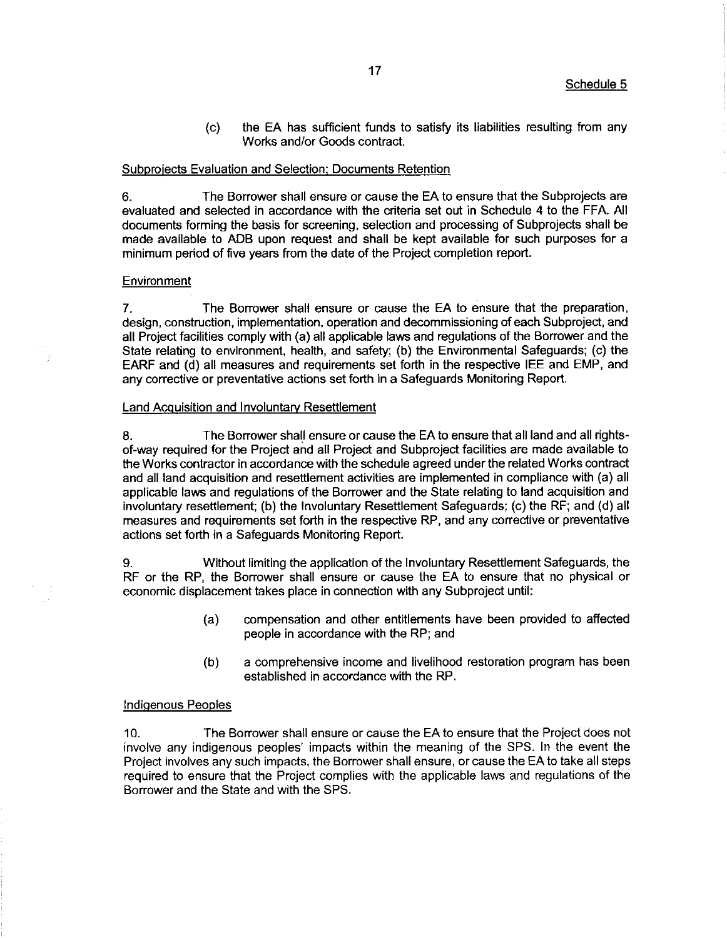(c) the EA has sufficient funds to satisfy its liabilities resulting from any Works and/or Goods contract.

# Subprojects Evaluation and Selection; Documents Retention

6. The Borrower shall ensure or cause the EA to ensure that the Subprojects are evaluated and selected in accordance with the criteria set out in Schedule 4 to the FFA. All documents forming the basis for screening, selection and processing of Subprojects shall be made available to ADB upon request and shall be kept available for such purposes for a minimum period of five years from the date of the Project completion report.

# **Environment**

7. The Borrower shall ensure or cause the EA to ensure that the preparation, design, construction, implementation, operation and decommissioning of each Subproject, and all Project facilities comply with (a) all applicable laws and regulations of the Borrower and the State relating to environment, health, and safety; (b) the Environmental Safeguards; (c) the EARF and (d) all measures and requirements set forth in the respective IEE and EMP, and any corrective or preventative actions setforth in a Safeguards Monitoring Report.

# Land Acquisition and Involuntary Resettlement

8. The Borrower shall ensure or cause the EA to ensure that all land and all rightsof-way required for the Project and all Project and Subproject facilities are made available to the Works contractor in accordance with the schedule agreed under the related Works contract and all land acquisition and resettlement activities are implemented in compliance with (a) all applicable laws and regulations of the Borrower and the State relating to land acquisition and involuntary resettlement; (b) the Involuntary Resettlement Safeguards; (c) the RF; and (d) all measures and requirements set forth in the respective RP, and any corrective or preventative actions set forth in a Safeguards Monitoring Report.

9. Without limiting the application of the Involuntary Resettlement Safeguards, the RF or the RP, the Borrower shall ensure or cause the EA to ensure that no physical or economic displacement takes place in connection with any Subproject until:

- (a) compensation and other entitlements have been provided to affected people in accordance with the RP; and
- (b) a comprehensive income and livelihood restoration program has been established in accordance with the RP.

# Indiqenous Peoples

10. The Borrower shall ensure or cause the EA to ensure that the Project does not involve any indigenous peoples' impacts within the meaning of the SPS. In the event the Project involves any such impacts, the Borrower shall ensure, or cause the EA to take all steps required to ensure that the Project complies with the applicable laws and regulations of the Borrower and the State and with the SPS.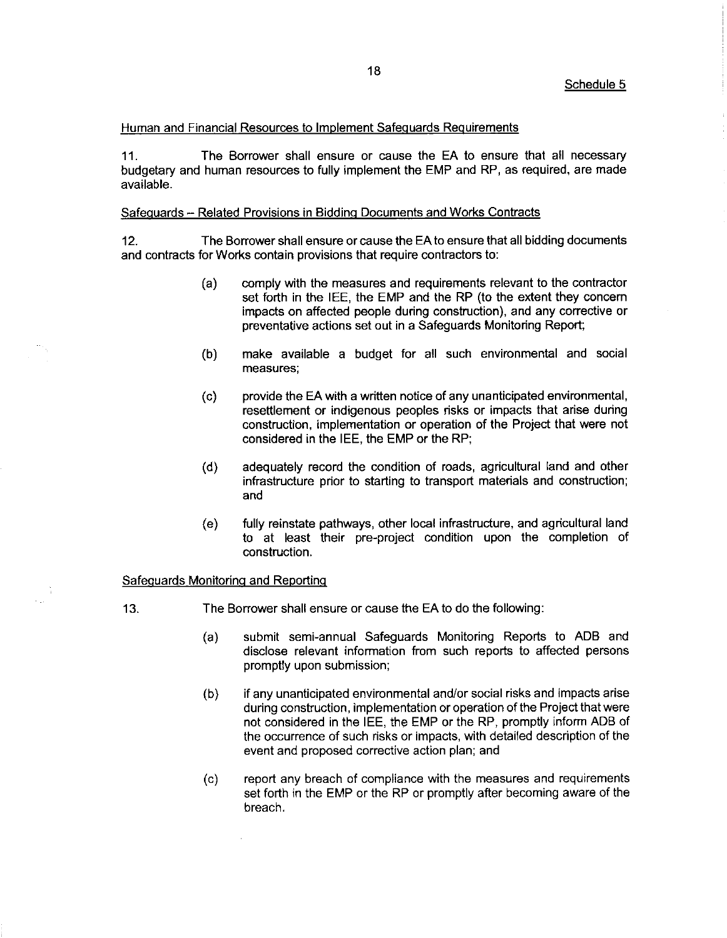## Human and Financial Resources to Implement Safequards Requirements

11. The Borrower shall ensure or cause the EA to ensure that all necessary budgetary and human resources to fully implement the EMP and RP, as required, are made available.

#### Safequards - Related Provisions in Biddinq Documents and Works Contracts

12. The Borrower shall ensure or cause the EAto ensure that all bidding documents and contracts for Works contain provisions that require contractors to:

- (a) comply with the measures and requirements relevant to the contractor set forth in the IEE, the EMP and the RP (to the extent they concern impacts on affected people during construction), and any corrective or preventative actions set out in a Safeguards Monitoring Report;
- (b) make available a budget for all such environmental and social measures;
- $(c)$ provide the EA with a written notice of any unanticipatedenvironmental, resettlement or indigenous peoples risks or impacts that arise during construction, implementation or operation of the Project that were not considered in the IEE, the EMP or the RP;
- (d) adequately record the condition of roads, agricultural land and other infrastructure prior to starting to transport materials and construction; and
- (e) fully reinstate pathways, other local infrastructure, and agricultural land to at least their pre-project condition upon the completion of construction.

# Safequards Monitorinq and Reportinq

- 13. The Borrower shall ensure or cause the EA to do the following:
	- (a) submit semi-annual Safeguards Monitoring Reports to ADB and disclose relevant information from such reports to affected persons promptly upon submission;
	- (b) if any unanticipated environmental and/or social risks and impacts arise during construction, implementation or operation of the Project that were not considered in the IEE, the EMP or the RP, promptly inform ADB of the occurrence of such risks or impacts, with detailed description of the event and proposed corrective action plan; and
	- (c) report any breach of compliance with the measures and requirements set forth in the EMP or the RP or promptly after becoming aware of the breach.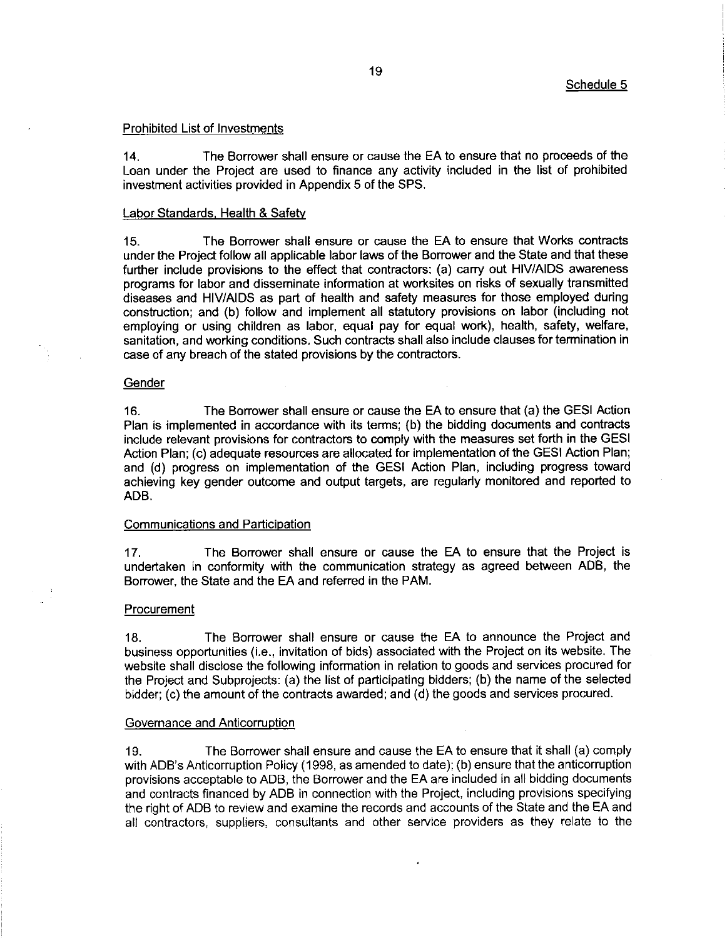#### Prohibited List of Investments

14. The Borrower shall ensure or cause the EA to ensure that no proceeds of the Loan under the Project are used to finance any activity included in the list of prohibited investment activities provided in Appendix 5 of the SPS.

## Labor Standards, Health & Safety

15. The Borrower shall ensure or cause the EA to ensure that Works contracts under the Project follow all applicable labor laws of the Borrower and the State and that these further include provisions to the effect that contractors: (a) carry out HIV/AIDS awareness programs for labor and disseminate information at worksites on risks of sexually transmitted diseases and HIV/AIDS as part of health and safety measures for those employed during construction; and (b) follow and implement all statutory provisions on labor (including not employing or using children as labor, equal pay for equal work), health, safety, welfare, sanitation, and working conditions. Such contracts shall also include clauses for termination in case of any breach of the stated provisions by the contractors.

#### **Gender**

16. The Borrower shall ensure or cause the EA to ensure that (a) the GESI Action Plan is implemented in accordance with its terms; (b) the bidding documents and contracts include relevant provisions for contractors to comply with the measures set forth in the GESI Action Plan; (c) adequate resources are allocated for implementation of the GESI Action Plan; and (d) progress on implementation of the GESI Action Plan, including progress toward achieving key gender outcome and output targets, are regularly monitored and reported to ADB.

# Communications and Participation

17. The Borrower shall ensure or cause the EA to ensure that the Project is undertaken in conformity with the communication strategy as agreed between ADB, the Borrower, the State and the EA and referred in the PAM.

#### **Procurement**

18. The Borrower shall ensure or cause the EA to announce the Project and business opportunities (i.e., invitation of bids) associated with the Project on its website. The website shall disclose the following information in relation to goods and services procured for the Project and Subprojects: (a) the list of participating bidders; (b) the name of the selected bidder; (c) the amount of the contracts awarded; and (d) the goods and services procured.

# Governance and Anticorruption

19. The Borrower shall ensure and cause the EA to ensure that it shall (a) comply with ADB's Anticorruption Policy (1998, as amended to date); (b) ensure that the anticorruption provisions acceptable to ADB, the Borrower and the EA are included in all bidding documents and contracts financed by ADB in connection with the Project, including provisions specifying the right of ADB to review and examine the records and accounts of the State and the EA and all contractors, suppliers, consultants and other service providers as they relate to the